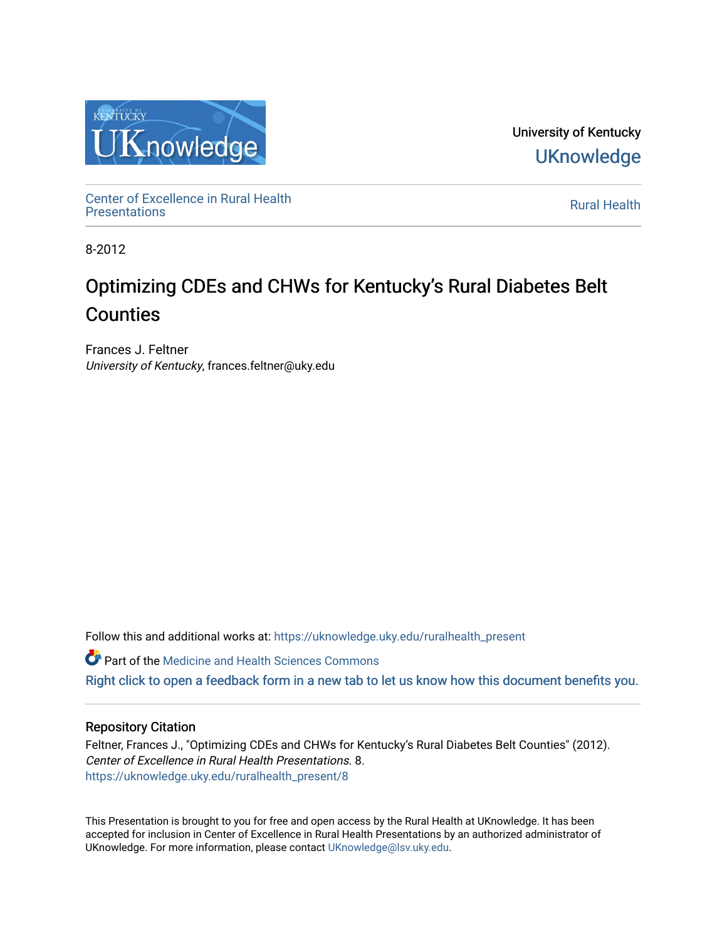

University of Kentucky **UKnowledge** 

Center of Excellence in Rural Health<br>Presentations Definer of Excellence in Kural Health<br>[Presentations](https://uknowledge.uky.edu/ruralhealth_present) **Rural Health** 

8-2012

#### Optimizing CDEs and CHWs for Kentucky's Rural Diabetes Belt Counties

Frances J. Feltner University of Kentucky, frances.feltner@uky.edu

Follow this and additional works at: [https://uknowledge.uky.edu/ruralhealth\\_present](https://uknowledge.uky.edu/ruralhealth_present?utm_source=uknowledge.uky.edu%2Fruralhealth_present%2F8&utm_medium=PDF&utm_campaign=PDFCoverPages) 

**Part of the Medicine and Health Sciences Commons** 

[Right click to open a feedback form in a new tab to let us know how this document benefits you.](https://uky.az1.qualtrics.com/jfe/form/SV_9mq8fx2GnONRfz7)

#### Repository Citation

Feltner, Frances J., "Optimizing CDEs and CHWs for Kentucky's Rural Diabetes Belt Counties" (2012). Center of Excellence in Rural Health Presentations. 8. [https://uknowledge.uky.edu/ruralhealth\\_present/8](https://uknowledge.uky.edu/ruralhealth_present/8?utm_source=uknowledge.uky.edu%2Fruralhealth_present%2F8&utm_medium=PDF&utm_campaign=PDFCoverPages) 

This Presentation is brought to you for free and open access by the Rural Health at UKnowledge. It has been accepted for inclusion in Center of Excellence in Rural Health Presentations by an authorized administrator of UKnowledge. For more information, please contact [UKnowledge@lsv.uky.edu](mailto:UKnowledge@lsv.uky.edu).